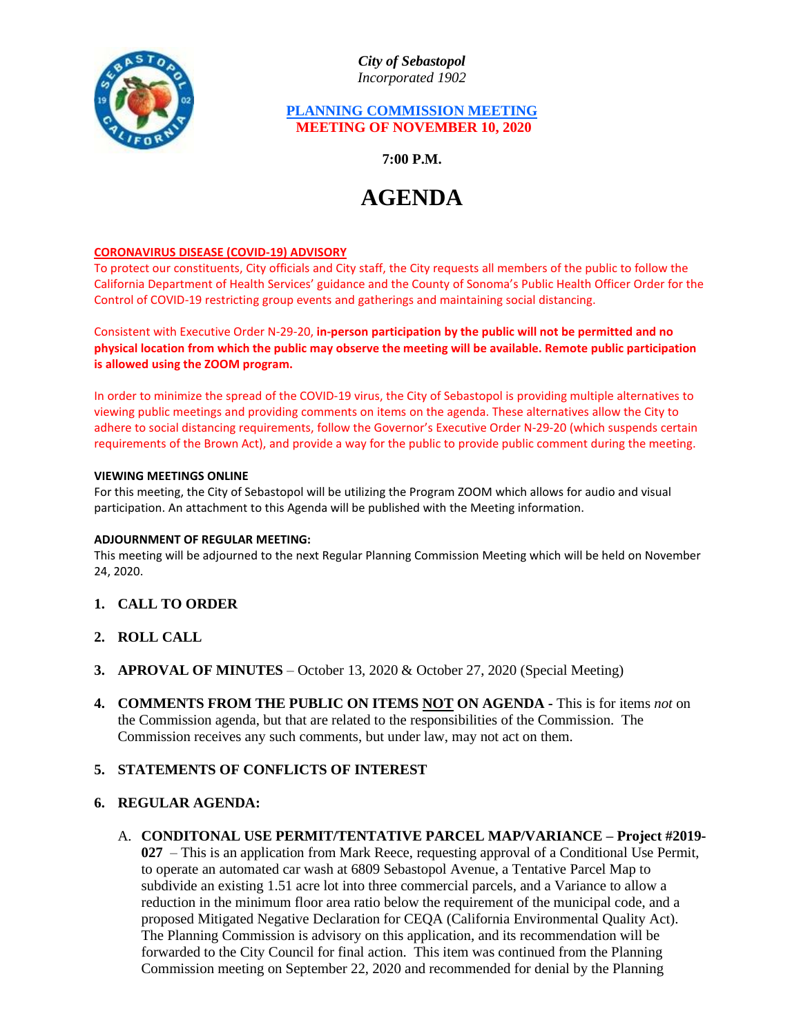

*City of Sebastopol Incorporated 1902*

### **PLANNING COMMISSION MEETING MEETING OF NOVEMBER 10, 2020**

**7:00 P.M.**

# **AGENDA**

#### **CORONAVIRUS DISEASE (COVID-19) ADVISORY**

To protect our constituents, City officials and City staff, the City requests all members of the public to follow the California Department of Health Services' guidance and the County of Sonoma's Public Health Officer Order for the Control of COVID-19 restricting group events and gatherings and maintaining social distancing.

Consistent with Executive Order N-29-20, **in-person participation by the public will not be permitted and no physical location from which the public may observe the meeting will be available. Remote public participation is allowed using the ZOOM program.**

In order to minimize the spread of the COVID-19 virus, the City of Sebastopol is providing multiple alternatives to viewing public meetings and providing comments on items on the agenda. These alternatives allow the City to adhere to social distancing requirements, follow the Governor's Executive Order N-29-20 (which suspends certain requirements of the Brown Act), and provide a way for the public to provide public comment during the meeting.

#### **VIEWING MEETINGS ONLINE**

For this meeting, the City of Sebastopol will be utilizing the Program ZOOM which allows for audio and visual participation. An attachment to this Agenda will be published with the Meeting information.

#### **ADJOURNMENT OF REGULAR MEETING:**

This meeting will be adjourned to the next Regular Planning Commission Meeting which will be held on November 24, 2020.

- **1. CALL TO ORDER**
- **2. ROLL CALL**
- **3. APROVAL OF MINUTES** October 13, 2020 & October 27, 2020 (Special Meeting)
- **4. COMMENTS FROM THE PUBLIC ON ITEMS NOT ON AGENDA -** This is for items *not* on the Commission agenda, but that are related to the responsibilities of the Commission. The Commission receives any such comments, but under law, may not act on them.

## **5. STATEMENTS OF CONFLICTS OF INTEREST**

#### **6. REGULAR AGENDA:**

A. **CONDITONAL USE PERMIT/TENTATIVE PARCEL MAP/VARIANCE – Project #2019- 027** – This is an application from Mark Reece, requesting approval of a Conditional Use Permit, to operate an automated car wash at 6809 Sebastopol Avenue, a Tentative Parcel Map to subdivide an existing 1.51 acre lot into three commercial parcels, and a Variance to allow a reduction in the minimum floor area ratio below the requirement of the municipal code, and a proposed Mitigated Negative Declaration for CEQA (California Environmental Quality Act). The Planning Commission is advisory on this application, and its recommendation will be forwarded to the City Council for final action. This item was continued from the Planning Commission meeting on September 22, 2020 and recommended for denial by the Planning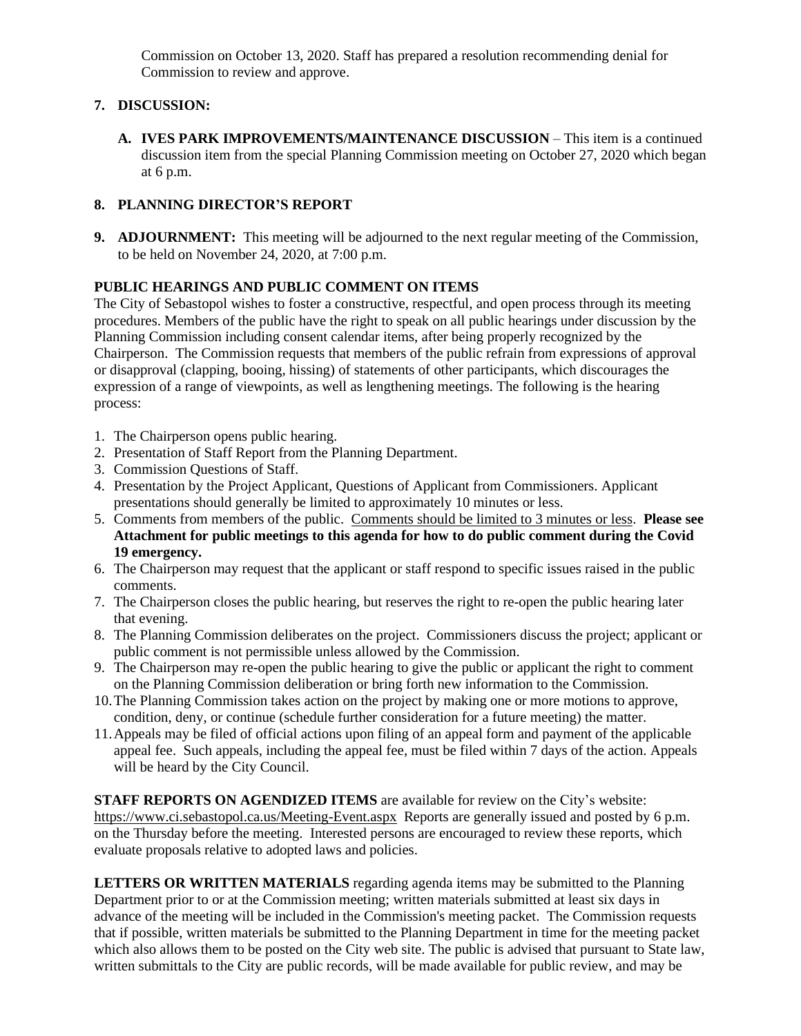Commission on October 13, 2020. Staff has prepared a resolution recommending denial for Commission to review and approve.

# **7. DISCUSSION:**

**A. IVES PARK IMPROVEMENTS/MAINTENANCE DISCUSSION** – This item is a continued discussion item from the special Planning Commission meeting on October 27, 2020 which began at 6 p.m.

## **8. PLANNING DIRECTOR'S REPORT**

**9. ADJOURNMENT:** This meeting will be adjourned to the next regular meeting of the Commission, to be held on November 24, 2020, at 7:00 p.m.

## **PUBLIC HEARINGS AND PUBLIC COMMENT ON ITEMS**

The City of Sebastopol wishes to foster a constructive, respectful, and open process through its meeting procedures. Members of the public have the right to speak on all public hearings under discussion by the Planning Commission including consent calendar items, after being properly recognized by the Chairperson. The Commission requests that members of the public refrain from expressions of approval or disapproval (clapping, booing, hissing) of statements of other participants, which discourages the expression of a range of viewpoints, as well as lengthening meetings. The following is the hearing process:

- 1. The Chairperson opens public hearing.
- 2. Presentation of Staff Report from the Planning Department.
- 3. Commission Questions of Staff.
- 4. Presentation by the Project Applicant, Questions of Applicant from Commissioners. Applicant presentations should generally be limited to approximately 10 minutes or less.
- 5. Comments from members of the public. Comments should be limited to 3 minutes or less. **Please see Attachment for public meetings to this agenda for how to do public comment during the Covid 19 emergency.**
- 6. The Chairperson may request that the applicant or staff respond to specific issues raised in the public comments.
- 7. The Chairperson closes the public hearing, but reserves the right to re-open the public hearing later that evening.
- 8. The Planning Commission deliberates on the project. Commissioners discuss the project; applicant or public comment is not permissible unless allowed by the Commission.
- 9. The Chairperson may re-open the public hearing to give the public or applicant the right to comment on the Planning Commission deliberation or bring forth new information to the Commission.
- 10.The Planning Commission takes action on the project by making one or more motions to approve, condition, deny, or continue (schedule further consideration for a future meeting) the matter.
- 11.Appeals may be filed of official actions upon filing of an appeal form and payment of the applicable appeal fee. Such appeals, including the appeal fee, must be filed within 7 days of the action. Appeals will be heard by the City Council.

**STAFF REPORTS ON AGENDIZED ITEMS** are available for review on the City's website: <https://www.ci.sebastopol.ca.us/Meeting-Event.aspx> Reports are generally issued and posted by 6 p.m. on the Thursday before the meeting. Interested persons are encouraged to review these reports, which evaluate proposals relative to adopted laws and policies.

**LETTERS OR WRITTEN MATERIALS** regarding agenda items may be submitted to the Planning Department prior to or at the Commission meeting; written materials submitted at least six days in advance of the meeting will be included in the Commission's meeting packet. The Commission requests that if possible, written materials be submitted to the Planning Department in time for the meeting packet which also allows them to be posted on the City web site. The public is advised that pursuant to State law, written submittals to the City are public records, will be made available for public review, and may be